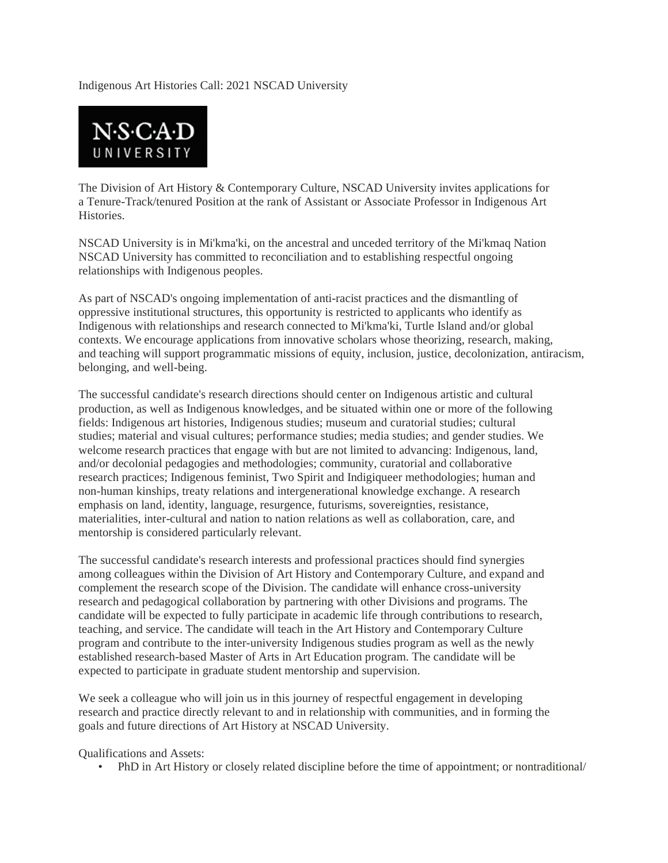## Indigenous Art Histories Call: 2021 NSCAD University



The Division of Art History & Contemporary Culture, NSCAD University invites applications for a Tenure-Track/tenured Position at the rank of Assistant or Associate Professor in Indigenous Art Histories.

NSCAD University is in Mi'kma'ki, on the ancestral and unceded territory of the Mi'kmaq Nation NSCAD University has committed to reconciliation and to establishing respectful ongoing relationships with Indigenous peoples.

As part of NSCAD's ongoing implementation of anti-racist practices and the dismantling of oppressive institutional structures, this opportunity is restricted to applicants who identify as Indigenous with relationships and research connected to Mi'kma'ki, Turtle Island and/or global contexts. We encourage applications from innovative scholars whose theorizing, research, making, and teaching will support programmatic missions of equity, inclusion, justice, decolonization, antiracism, belonging, and well-being.

The successful candidate's research directions should center on Indigenous artistic and cultural production, as well as Indigenous knowledges, and be situated within one or more of the following fields: Indigenous art histories, Indigenous studies; museum and curatorial studies; cultural studies; material and visual cultures; performance studies; media studies; and gender studies. We welcome research practices that engage with but are not limited to advancing: Indigenous, land, and/or decolonial pedagogies and methodologies; community, curatorial and collaborative research practices; Indigenous feminist, Two Spirit and Indigiqueer methodologies; human and non-human kinships, treaty relations and intergenerational knowledge exchange. A research emphasis on land, identity, language, resurgence, futurisms, sovereignties, resistance, materialities, inter-cultural and nation to nation relations as well as collaboration, care, and mentorship is considered particularly relevant.

The successful candidate's research interests and professional practices should find synergies among colleagues within the Division of Art History and Contemporary Culture, and expand and complement the research scope of the Division. The candidate will enhance cross-university research and pedagogical collaboration by partnering with other Divisions and programs. The candidate will be expected to fully participate in academic life through contributions to research, teaching, and service. The candidate will teach in the Art History and Contemporary Culture program and contribute to the inter-university Indigenous studies program as well as the newly established research-based Master of Arts in Art Education program. The candidate will be expected to participate in graduate student mentorship and supervision.

We seek a colleague who will join us in this journey of respectful engagement in developing research and practice directly relevant to and in relationship with communities, and in forming the goals and future directions of Art History at NSCAD University.

Qualifications and Assets:

• PhD in Art History or closely related discipline before the time of appointment; or nontraditional/